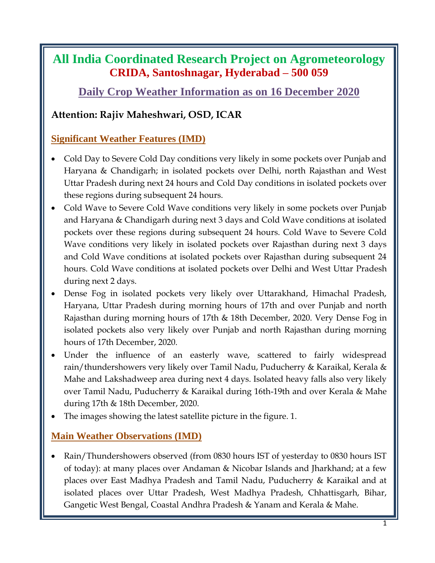# **All India Coordinated Research Project on Agrometeorology CRIDA, Santoshnagar, Hyderabad – 500 059**

## **Daily Crop Weather Information as on 16 December 2020**

## **Attention: Rajiv Maheshwari, OSD, ICAR**

### **Significant Weather Features (IMD)**

- Cold Day to Severe Cold Day conditions very likely in some pockets over Punjab and Haryana & Chandigarh; in isolated pockets over Delhi, north Rajasthan and West Uttar Pradesh during next 24 hours and Cold Day conditions in isolated pockets over these regions during subsequent 24 hours.
- Cold Wave to Severe Cold Wave conditions very likely in some pockets over Punjab and Haryana & Chandigarh during next 3 days and Cold Wave conditions at isolated pockets over these regions during subsequent 24 hours. Cold Wave to Severe Cold Wave conditions very likely in isolated pockets over Rajasthan during next 3 days and Cold Wave conditions at isolated pockets over Rajasthan during subsequent 24 hours. Cold Wave conditions at isolated pockets over Delhi and West Uttar Pradesh during next 2 days.
- Dense Fog in isolated pockets very likely over Uttarakhand, Himachal Pradesh, Haryana, Uttar Pradesh during morning hours of 17th and over Punjab and north Rajasthan during morning hours of 17th & 18th December, 2020. Very Dense Fog in isolated pockets also very likely over Punjab and north Rajasthan during morning hours of 17th December, 2020.
- Under the influence of an easterly wave, scattered to fairly widespread rain/thundershowers very likely over Tamil Nadu, Puducherry & Karaikal, Kerala & Mahe and Lakshadweep area during next 4 days. Isolated heavy falls also very likely over Tamil Nadu, Puducherry & Karaikal during 16th-19th and over Kerala & Mahe during 17th & 18th December, 2020.
- The images showing the latest satellite picture in the figure. 1.

### **Main Weather Observations (IMD)**

• Rain/Thundershowers observed (from 0830 hours IST of yesterday to 0830 hours IST of today): at many places over Andaman & Nicobar Islands and Jharkhand; at a few places over East Madhya Pradesh and Tamil Nadu, Puducherry & Karaikal and at isolated places over Uttar Pradesh, West Madhya Pradesh, Chhattisgarh, Bihar, Gangetic West Bengal, Coastal Andhra Pradesh & Yanam and Kerala & Mahe.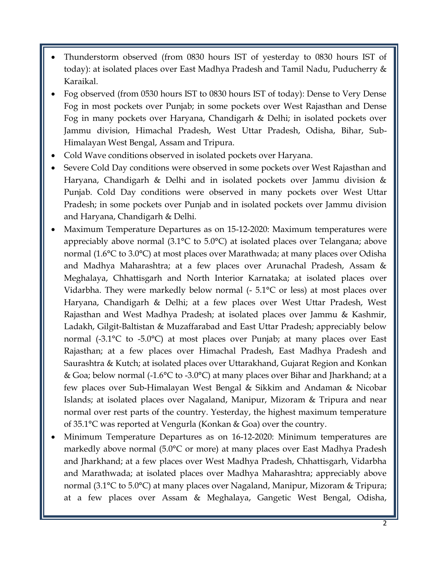- Thunderstorm observed (from 0830 hours IST of yesterday to 0830 hours IST of today): at isolated places over East Madhya Pradesh and Tamil Nadu, Puducherry & Karaikal.
- Fog observed (from 0530 hours IST to 0830 hours IST of today): Dense to Very Dense Fog in most pockets over Punjab; in some pockets over West Rajasthan and Dense Fog in many pockets over Haryana, Chandigarh & Delhi; in isolated pockets over Jammu division, Himachal Pradesh, West Uttar Pradesh, Odisha, Bihar, Sub-Himalayan West Bengal, Assam and Tripura.
- Cold Wave conditions observed in isolated pockets over Haryana.
- Severe Cold Day conditions were observed in some pockets over West Rajasthan and Haryana, Chandigarh & Delhi and in isolated pockets over Jammu division & Punjab. Cold Day conditions were observed in many pockets over West Uttar Pradesh; in some pockets over Punjab and in isolated pockets over Jammu division and Haryana, Chandigarh & Delhi.
- Maximum Temperature Departures as on 15-12-2020: Maximum temperatures were appreciably above normal (3.1°C to 5.0°C) at isolated places over Telangana; above normal (1.6°C to 3.0°C) at most places over Marathwada; at many places over Odisha and Madhya Maharashtra; at a few places over Arunachal Pradesh, Assam & Meghalaya, Chhattisgarh and North Interior Karnataka; at isolated places over Vidarbha. They were markedly below normal  $(-5.1^{\circ}C)$  or less) at most places over Haryana, Chandigarh & Delhi; at a few places over West Uttar Pradesh, West Rajasthan and West Madhya Pradesh; at isolated places over Jammu & Kashmir, Ladakh, Gilgit-Baltistan & Muzaffarabad and East Uttar Pradesh; appreciably below normal (-3.1°C to -5.0°C) at most places over Punjab; at many places over East Rajasthan; at a few places over Himachal Pradesh, East Madhya Pradesh and Saurashtra & Kutch; at isolated places over Uttarakhand, Gujarat Region and Konkan & Goa; below normal (-1.6°C to -3.0°C) at many places over Bihar and Jharkhand; at a few places over Sub-Himalayan West Bengal & Sikkim and Andaman & Nicobar Islands; at isolated places over Nagaland, Manipur, Mizoram & Tripura and near normal over rest parts of the country. Yesterday, the highest maximum temperature of 35.1°C was reported at Vengurla (Konkan & Goa) over the country.
- Minimum Temperature Departures as on 16-12-2020: Minimum temperatures are markedly above normal (5.0°C or more) at many places over East Madhya Pradesh and Jharkhand; at a few places over West Madhya Pradesh, Chhattisgarh, Vidarbha and Marathwada; at isolated places over Madhya Maharashtra; appreciably above normal (3.1°C to 5.0°C) at many places over Nagaland, Manipur, Mizoram & Tripura; at a few places over Assam & Meghalaya, Gangetic West Bengal, Odisha,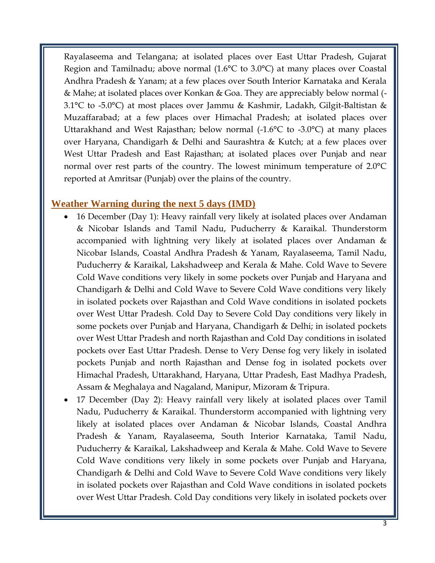Rayalaseema and Telangana; at isolated places over East Uttar Pradesh, Gujarat Region and Tamilnadu; above normal (1.6°C to 3.0°C) at many places over Coastal Andhra Pradesh & Yanam; at a few places over South Interior Karnataka and Kerala & Mahe; at isolated places over Konkan & Goa. They are appreciably below normal (- 3.1°C to -5.0°C) at most places over Jammu & Kashmir, Ladakh, Gilgit-Baltistan & Muzaffarabad; at a few places over Himachal Pradesh; at isolated places over Uttarakhand and West Rajasthan; below normal (-1.6°C to -3.0°C) at many places over Haryana, Chandigarh & Delhi and Saurashtra & Kutch; at a few places over West Uttar Pradesh and East Rajasthan; at isolated places over Punjab and near normal over rest parts of the country. The lowest minimum temperature of 2.0°C reported at Amritsar (Punjab) over the plains of the country.

#### **Weather Warning during the next 5 days (IMD)**

- 16 December (Day 1): Heavy rainfall very likely at isolated places over Andaman & Nicobar Islands and Tamil Nadu, Puducherry & Karaikal. Thunderstorm accompanied with lightning very likely at isolated places over Andaman & Nicobar Islands, Coastal Andhra Pradesh & Yanam, Rayalaseema, Tamil Nadu, Puducherry & Karaikal, Lakshadweep and Kerala & Mahe. Cold Wave to Severe Cold Wave conditions very likely in some pockets over Punjab and Haryana and Chandigarh & Delhi and Cold Wave to Severe Cold Wave conditions very likely in isolated pockets over Rajasthan and Cold Wave conditions in isolated pockets over West Uttar Pradesh. Cold Day to Severe Cold Day conditions very likely in some pockets over Punjab and Haryana, Chandigarh & Delhi; in isolated pockets over West Uttar Pradesh and north Rajasthan and Cold Day conditions in isolated pockets over East Uttar Pradesh. Dense to Very Dense fog very likely in isolated pockets Punjab and north Rajasthan and Dense fog in isolated pockets over Himachal Pradesh, Uttarakhand, Haryana, Uttar Pradesh, East Madhya Pradesh, Assam & Meghalaya and Nagaland, Manipur, Mizoram & Tripura.
- 17 December (Day 2): Heavy rainfall very likely at isolated places over Tamil Nadu, Puducherry & Karaikal. Thunderstorm accompanied with lightning very likely at isolated places over Andaman & Nicobar Islands, Coastal Andhra Pradesh & Yanam, Rayalaseema, South Interior Karnataka, Tamil Nadu, Puducherry & Karaikal, Lakshadweep and Kerala & Mahe. Cold Wave to Severe Cold Wave conditions very likely in some pockets over Punjab and Haryana, Chandigarh & Delhi and Cold Wave to Severe Cold Wave conditions very likely in isolated pockets over Rajasthan and Cold Wave conditions in isolated pockets over West Uttar Pradesh. Cold Day conditions very likely in isolated pockets over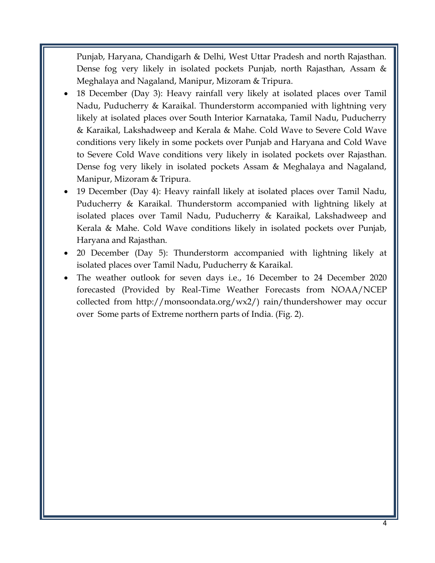Punjab, Haryana, Chandigarh & Delhi, West Uttar Pradesh and north Rajasthan. Dense fog very likely in isolated pockets Punjab, north Rajasthan, Assam & Meghalaya and Nagaland, Manipur, Mizoram & Tripura.

- 18 December (Day 3): Heavy rainfall very likely at isolated places over Tamil Nadu, Puducherry & Karaikal. Thunderstorm accompanied with lightning very likely at isolated places over South Interior Karnataka, Tamil Nadu, Puducherry & Karaikal, Lakshadweep and Kerala & Mahe. Cold Wave to Severe Cold Wave conditions very likely in some pockets over Punjab and Haryana and Cold Wave to Severe Cold Wave conditions very likely in isolated pockets over Rajasthan. Dense fog very likely in isolated pockets Assam & Meghalaya and Nagaland, Manipur, Mizoram & Tripura.
- 19 December (Day 4): Heavy rainfall likely at isolated places over Tamil Nadu, Puducherry & Karaikal. Thunderstorm accompanied with lightning likely at isolated places over Tamil Nadu, Puducherry & Karaikal, Lakshadweep and Kerala & Mahe. Cold Wave conditions likely in isolated pockets over Punjab, Haryana and Rajasthan.
- 20 December (Day 5): Thunderstorm accompanied with lightning likely at isolated places over Tamil Nadu, Puducherry & Karaikal.
- The weather outlook for seven days i.e., 16 December to 24 December 2020 forecasted (Provided by Real-Time Weather Forecasts from NOAA/NCEP collected from http://monsoondata.org/wx2/) rain/thundershower may occur over Some parts of Extreme northern parts of India. (Fig. 2).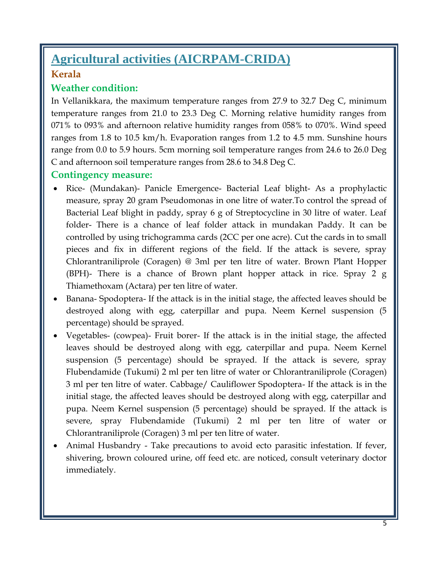# **Agricultural activities (AICRPAM-CRIDA) Kerala**

#### **Weather condition:**

In Vellanikkara, the maximum temperature ranges from 27.9 to 32.7 Deg C, minimum temperature ranges from 21.0 to 23.3 Deg C. Morning relative humidity ranges from 071% to 093% and afternoon relative humidity ranges from 058% to 070%. Wind speed ranges from 1.8 to 10.5 km/h. Evaporation ranges from 1.2 to 4.5 mm. Sunshine hours range from 0.0 to 5.9 hours. 5cm morning soil temperature ranges from 24.6 to 26.0 Deg C and afternoon soil temperature ranges from 28.6 to 34.8 Deg C.

#### **Contingency measure:**

- Rice- (Mundakan)- Panicle Emergence- Bacterial Leaf blight- As a prophylactic measure, spray 20 gram Pseudomonas in one litre of water.To control the spread of Bacterial Leaf blight in paddy, spray 6 g of Streptocycline in 30 litre of water. Leaf folder- There is a chance of leaf folder attack in mundakan Paddy. It can be controlled by using trichogramma cards (2CC per one acre). Cut the cards in to small pieces and fix in different regions of the field. If the attack is severe, spray Chlorantraniliprole (Coragen) @ 3ml per ten litre of water. Brown Plant Hopper (BPH)- There is a chance of Brown plant hopper attack in rice. Spray 2 g Thiamethoxam (Actara) per ten litre of water.
- Banana- Spodoptera- If the attack is in the initial stage, the affected leaves should be destroyed along with egg, caterpillar and pupa. Neem Kernel suspension (5 percentage) should be sprayed.
- Vegetables- (cowpea)- Fruit borer- If the attack is in the initial stage, the affected leaves should be destroyed along with egg, caterpillar and pupa. Neem Kernel suspension (5 percentage) should be sprayed. If the attack is severe, spray Flubendamide (Tukumi) 2 ml per ten litre of water or Chlorantraniliprole (Coragen) 3 ml per ten litre of water. Cabbage/ Cauliflower Spodoptera- If the attack is in the initial stage, the affected leaves should be destroyed along with egg, caterpillar and pupa. Neem Kernel suspension (5 percentage) should be sprayed. If the attack is severe, spray Flubendamide (Tukumi) 2 ml per ten litre of water or Chlorantraniliprole (Coragen) 3 ml per ten litre of water.
- Animal Husbandry Take precautions to avoid ecto parasitic infestation. If fever, shivering, brown coloured urine, off feed etc. are noticed, consult veterinary doctor immediately.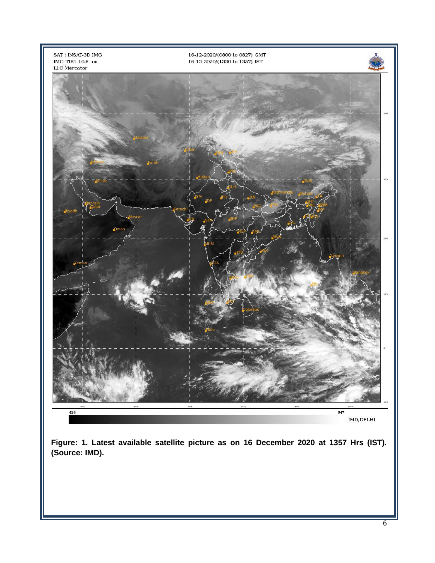

**Figure: 1. Latest available satellite picture as on 16 December 2020 at 1357 Hrs (IST). (Source: IMD).**